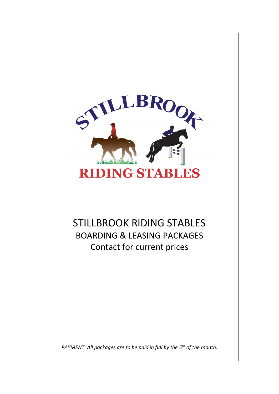

# STILLBROOK RIDING STABLES BOARDING & LEASING PACKAGES Contact for current prices

*PAYMENT: All packages are to be paid in full by the 5th of the month.*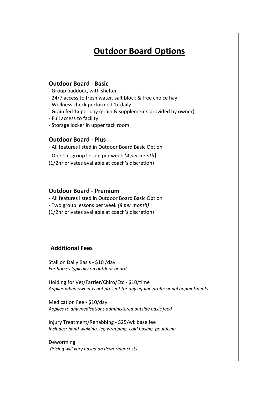# **Outdoor Board Options**

### **Outdoor Board - Basic**

- Group paddock, with shelter
- 24/7 access to fresh water, salt block & free choice hay
- Wellness check performed 1x daily
- Grain fed 1x per day (grain & supplements provided by owner)
- Full access to facility
- Storage locker in upper tack room

### **Outdoor Board - Plus**

- All features listed in Outdoor Board Basic Option
- One 1hr group lesson per week *(4 per month*)
- (1/2hr privates available at coach's discretion)

#### **Outdoor Board - Premium**

- All features listed in Outdoor Board Basic Option
- Two group lessons per week *(8 per month)*
- (1/2hr privates available at coach's discretion)

## **Additional Fees**

Stall on Daily Basis - \$10 /day *For horses typically on outdoor board*

Holding for Vet/Farrier/Chiro/Etc - \$10/time *Applies when owner is not present for any equine professional appointments*

Medication Fee - \$10/day *Applies to any medications administered outside basic feed* 

Injury Treatment/Rehabbing - \$25/wk base fee *Includes: hand-walking, leg wrapping, cold hosing, poulticing*

Deworming *Pricing will vary based on dewormer costs*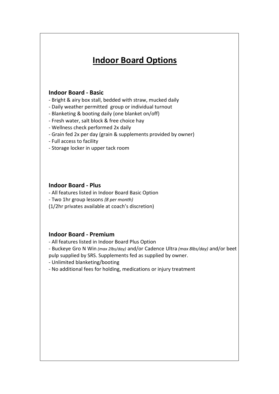# **Indoor Board Options**

### **Indoor Board - Basic**

- Bright & airy box stall, bedded with straw, mucked daily
- Daily weather permitted group or individual turnout
- Blanketing & booting daily (one blanket on/off)
- Fresh water, salt block & free choice hay
- Wellness check performed 2x daily
- Grain fed 2x per day (grain & supplements provided by owner)
- Full access to facility
- Storage locker in upper tack room

### **Indoor Board - Plus**

- All features listed in Indoor Board Basic Option

- Two 1hr group lessons *(8 per month)*
- (1/2hr privates available at coach's discretion)

## **Indoor Board - Premium**

- All features listed in Indoor Board Plus Option

- Buckeye Gro N Win *(max 2lbs/day)* and/or Cadence Ultra *(max 8lbs/day)* and/or beet pulp supplied by SRS. Supplements fed as supplied by owner.
- Unlimited blanketing/booting
- No additional fees for holding, medications or injury treatment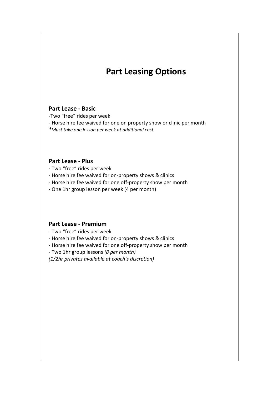# **Part Leasing Options**

#### **Part Lease - Basic**

-Two "free" rides per week

- Horse hire fee waived for one on property show or clinic per month
- *\*Must take one lesson per week at additional cost*

#### **Part Lease - Plus**

**-** Two "free" rides per week

- Horse hire fee waived for on-property shows & clinics
- Horse hire fee waived for one off-property show per month
- One 1hr group lesson per week (4 per month)

#### **Part Lease - Premium**

- Two "free" rides per week

- Horse hire fee waived for on-property shows & clinics
- Horse hire fee waived for one off-property show per month
- Two 1hr group lessons *(8 per month)*

*(1/2hr privates available at coach's discretion)*